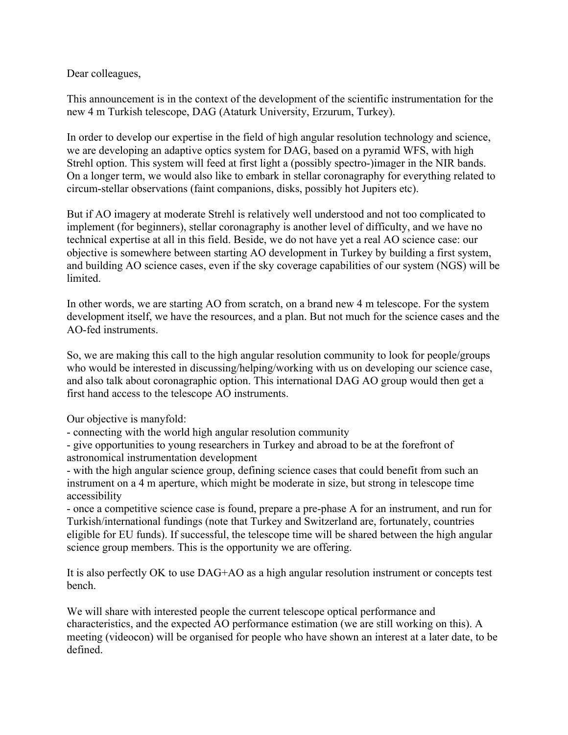Dear colleagues,

This announcement is in the context of the development of the scientific instrumentation for the new 4 m Turkish telescope, DAG (Ataturk University, Erzurum, Turkey).

In order to develop our expertise in the field of high angular resolution technology and science, we are developing an adaptive optics system for DAG, based on a pyramid WFS, with high Strehl option. This system will feed at first light a (possibly spectro-)imager in the NIR bands. On a longer term, we would also like to embark in stellar coronagraphy for everything related to circum-stellar observations (faint companions, disks, possibly hot Jupiters etc).

But if AO imagery at moderate Strehl is relatively well understood and not too complicated to implement (for beginners), stellar coronagraphy is another level of difficulty, and we have no technical expertise at all in this field. Beside, we do not have yet a real AO science case: our objective is somewhere between starting AO development in Turkey by building a first system, and building AO science cases, even if the sky coverage capabilities of our system (NGS) will be limited.

In other words, we are starting AO from scratch, on a brand new 4 m telescope. For the system development itself, we have the resources, and a plan. But not much for the science cases and the AO-fed instruments.

So, we are making this call to the high angular resolution community to look for people/groups who would be interested in discussing/helping/working with us on developing our science case, and also talk about coronagraphic option. This international DAG AO group would then get a first hand access to the telescope AO instruments.

Our objective is manyfold:

- connecting with the world high angular resolution community

- give opportunities to young researchers in Turkey and abroad to be at the forefront of astronomical instrumentation development

- with the high angular science group, defining science cases that could benefit from such an instrument on a 4 m aperture, which might be moderate in size, but strong in telescope time accessibility

- once a competitive science case is found, prepare a pre-phase A for an instrument, and run for Turkish/international fundings (note that Turkey and Switzerland are, fortunately, countries eligible for EU funds). If successful, the telescope time will be shared between the high angular science group members. This is the opportunity we are offering.

It is also perfectly OK to use DAG+AO as a high angular resolution instrument or concepts test bench.

We will share with interested people the current telescope optical performance and characteristics, and the expected AO performance estimation (we are still working on this). A meeting (videocon) will be organised for people who have shown an interest at a later date, to be defined.